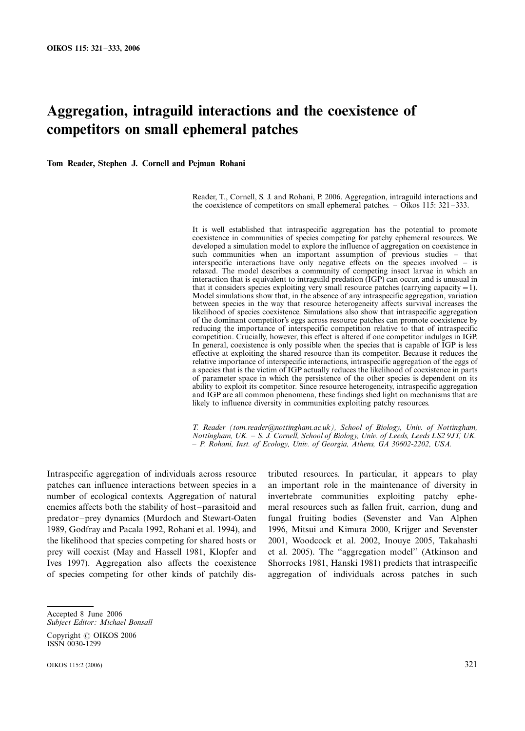# Aggregation, intraguild interactions and the coexistence of competitors on small ephemeral patches

Tom Reader, Stephen J. Cornell and Pejman Rohani

Reader, T., Cornell, S. J. and Rohani, P. 2006. Aggregation, intraguild interactions and the coexistence of competitors on small ephemeral patches.  $-$  Oikos 115: 321 $-$ 333.

It is well established that intraspecific aggregation has the potential to promote coexistence in communities of species competing for patchy ephemeral resources. We developed a simulation model to explore the influence of aggregation on coexistence in such communities when an important assumption of previous studies  $-$  that interspecific interactions have only negative effects on the species involved  $-$  is relaxed. The model describes a community of competing insect larvae in which an interaction that is equivalent to intraguild predation (IGP) can occur, and is unusual in that it considers species exploiting very small resource patches (carrying capacity  $=$  1). Model simulations show that, in the absence of any intraspecific aggregation, variation between species in the way that resource heterogeneity affects survival increases the likelihood of species coexistence. Simulations also show that intraspecific aggregation of the dominant competitor's eggs across resource patches can promote coexistence by reducing the importance of interspecific competition relative to that of intraspecific competition. Crucially, however, this effect is altered if one competitor indulges in IGP. In general, coexistence is only possible when the species that is capable of IGP is less effective at exploiting the shared resource than its competitor. Because it reduces the relative importance of interspecific interactions, intraspecific aggregation of the eggs of a species that is the victim of IGP actually reduces the likelihood of coexistence in parts of parameter space in which the persistence of the other species is dependent on its ability to exploit its competitor. Since resource heterogeneity, intraspecific aggregation and IGP are all common phenomena, these findings shed light on mechanisms that are likely to influence diversity in communities exploiting patchy resources.

T. Reader (tom.reader@nottingham.ac.uk), School of Biology, Univ. of Nottingham, Nottingham, UK.  $= S.$  J. Cornell, School of Biology, Univ. of Leeds, Leeds LS2 9JT, UK. P. Rohani, Inst. of Ecology, Univ. of Georgia, Athens, GA 30602-2202, USA.

Intraspecific aggregation of individuals across resource patches can influence interactions between species in a number of ecological contexts. Aggregation of natural enemies affects both the stability of host-parasitoid and predator-prey dynamics (Murdoch and Stewart-Oaten 1989, Godfray and Pacala 1992, Rohani et al. 1994), and the likelihood that species competing for shared hosts or prey will coexist (May and Hassell 1981, Klopfer and Ives 1997). Aggregation also affects the coexistence of species competing for other kinds of patchily distributed resources. In particular, it appears to play an important role in the maintenance of diversity in invertebrate communities exploiting patchy ephemeral resources such as fallen fruit, carrion, dung and fungal fruiting bodies (Sevenster and Van Alphen 1996, Mitsui and Kimura 2000, Krijger and Sevenster 2001, Woodcock et al. 2002, Inouye 2005, Takahashi et al. 2005). The ''aggregation model'' (Atkinson and Shorrocks 1981, Hanski 1981) predicts that intraspecific aggregation of individuals across patches in such

Accepted 8 June 2006 Subject Editor: Michael Bonsall

Copyright © OIKOS 2006 ISSN 0030-1299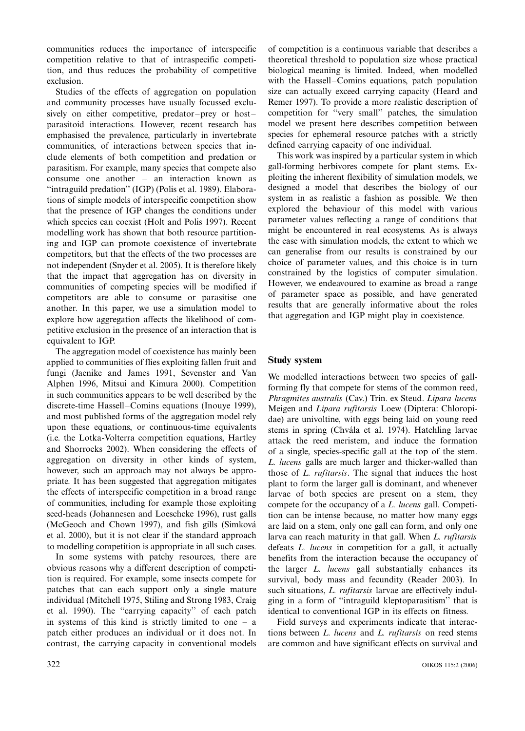communities reduces the importance of interspecific competition relative to that of intraspecific competition, and thus reduces the probability of competitive exclusion.

Studies of the effects of aggregation on population and community processes have usually focussed exclusively on either competitive, predator-prey or hostparasitoid interactions. However, recent research has emphasised the prevalence, particularly in invertebrate communities, of interactions between species that include elements of both competition and predation or parasitism. For example, many species that compete also consume one another  $-$  an interaction known as ''intraguild predation'' (IGP) (Polis et al. 1989). Elaborations of simple models of interspecific competition show that the presence of IGP changes the conditions under which species can coexist (Holt and Polis 1997). Recent modelling work has shown that both resource partitioning and IGP can promote coexistence of invertebrate competitors, but that the effects of the two processes are not independent (Snyder et al. 2005). It is therefore likely that the impact that aggregation has on diversity in communities of competing species will be modified if competitors are able to consume or parasitise one another. In this paper, we use a simulation model to explore how aggregation affects the likelihood of competitive exclusion in the presence of an interaction that is equivalent to IGP.

The aggregation model of coexistence has mainly been applied to communities of flies exploiting fallen fruit and fungi (Jaenike and James 1991, Sevenster and Van Alphen 1996, Mitsui and Kimura 2000). Competition in such communities appears to be well described by the discrete-time Hassell–Comins equations (Inouve 1999), and most published forms of the aggregation model rely upon these equations, or continuous-time equivalents (i.e. the Lotka-Volterra competition equations, Hartley and Shorrocks 2002). When considering the effects of aggregation on diversity in other kinds of system, however, such an approach may not always be appropriate. It has been suggested that aggregation mitigates the effects of interspecific competition in a broad range of communities, including for example those exploiting seed-heads (Johannesen and Loeschcke 1996), rust galls (McGeoch and Chown 1997), and fish gills (Simková et al. 2000), but it is not clear if the standard approach to modelling competition is appropriate in all such cases.

In some systems with patchy resources, there are obvious reasons why a different description of competition is required. For example, some insects compete for patches that can each support only a single mature individual (Mitchell 1975, Stiling and Strong 1983, Craig et al. 1990). The ''carrying capacity'' of each patch in systems of this kind is strictly limited to one  $-$  a patch either produces an individual or it does not. In contrast, the carrying capacity in conventional models of competition is a continuous variable that describes a theoretical threshold to population size whose practical biological meaning is limited. Indeed, when modelled with the Hassell–Comins equations, patch population size can actually exceed carrying capacity (Heard and Remer 1997). To provide a more realistic description of competition for ''very small'' patches, the simulation model we present here describes competition between species for ephemeral resource patches with a strictly defined carrying capacity of one individual.

This work was inspired by a particular system in which gall-forming herbivores compete for plant stems. Exploiting the inherent flexibility of simulation models, we designed a model that describes the biology of our system in as realistic a fashion as possible. We then explored the behaviour of this model with various parameter values reflecting a range of conditions that might be encountered in real ecosystems. As is always the case with simulation models, the extent to which we can generalise from our results is constrained by our choice of parameter values, and this choice is in turn constrained by the logistics of computer simulation. However, we endeavoured to examine as broad a range of parameter space as possible, and have generated results that are generally informative about the roles that aggregation and IGP might play in coexistence.

# Study system

We modelled interactions between two species of gallforming fly that compete for stems of the common reed, Phragmites australis (Cav.) Trin. ex Steud. Lipara lucens Meigen and Lipara rufitarsis Loew (Diptera: Chloropidae) are univoltine, with eggs being laid on young reed stems in spring (Chvála et al. 1974). Hatchling larvae attack the reed meristem, and induce the formation of a single, species-specific gall at the top of the stem. L. lucens galls are much larger and thicker-walled than those of L. rufitarsis. The signal that induces the host plant to form the larger gall is dominant, and whenever larvae of both species are present on a stem, they compete for the occupancy of a L. lucens gall. Competition can be intense because, no matter how many eggs are laid on a stem, only one gall can form, and only one larva can reach maturity in that gall. When L. rufitarsis defeats *L. lucens* in competition for a gall, it actually benefits from the interaction because the occupancy of the larger L. lucens gall substantially enhances its survival, body mass and fecundity (Reader 2003). In such situations, L. rufitarsis larvae are effectively indulging in a form of ''intraguild kleptoparasitism'' that is identical to conventional IGP in its effects on fitness.

Field surveys and experiments indicate that interactions between L. lucens and L. rufitarsis on reed stems are common and have significant effects on survival and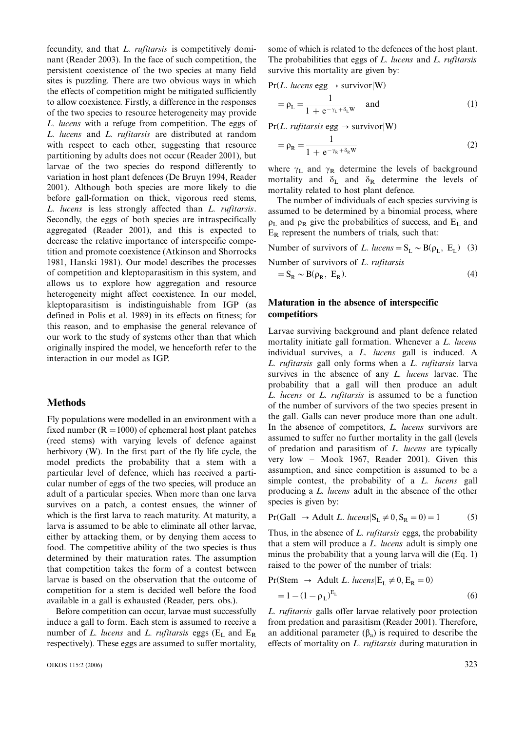fecundity, and that L. rufitarsis is competitively dominant (Reader 2003). In the face of such competition, the persistent coexistence of the two species at many field sites is puzzling. There are two obvious ways in which the effects of competition might be mitigated sufficiently to allow coexistence. Firstly, a difference in the responses of the two species to resource heterogeneity may provide L. lucens with a refuge from competition. The eggs of L. lucens and L. rufitarsis are distributed at random with respect to each other, suggesting that resource partitioning by adults does not occur (Reader 2001), but larvae of the two species do respond differently to variation in host plant defences (De Bruyn 1994, Reader 2001). Although both species are more likely to die before gall-formation on thick, vigorous reed stems, L. lucens is less strongly affected than L. rufitarsis. Secondly, the eggs of both species are intraspecifically aggregated (Reader 2001), and this is expected to decrease the relative importance of interspecific competition and promote coexistence (Atkinson and Shorrocks 1981, Hanski 1981). Our model describes the processes of competition and kleptoparasitism in this system, and allows us to explore how aggregation and resource heterogeneity might affect coexistence. In our model, kleptoparasitism is indistinguishable from IGP (as defined in Polis et al. 1989) in its effects on fitness; for this reason, and to emphasise the general relevance of our work to the study of systems other than that which originally inspired the model, we henceforth refer to the interaction in our model as IGP.

#### Methods

Fly populations were modelled in an environment with a fixed number  $(R = 1000)$  of ephemeral host plant patches (reed stems) with varying levels of defence against herbivory (W). In the first part of the fly life cycle, the model predicts the probability that a stem with a particular level of defence, which has received a particular number of eggs of the two species, will produce an adult of a particular species. When more than one larva survives on a patch, a contest ensues, the winner of which is the first larva to reach maturity. At maturity, a larva is assumed to be able to eliminate all other larvae, either by attacking them, or by denying them access to food. The competitive ability of the two species is thus determined by their maturation rates. The assumption that competition takes the form of a contest between larvae is based on the observation that the outcome of competition for a stem is decided well before the food available in a gall is exhausted (Reader, pers. obs.).

Before competition can occur, larvae must successfully induce a gall to form. Each stem is assumed to receive a number of L. lucens and L. rufitarsis eggs ( $E_L$  and  $E_R$ ) respectively). These eggs are assumed to suffer mortality, some of which is related to the defences of the host plant. The probabilities that eggs of L. lucens and L. rufitarsis survive this mortality are given by:

$$
Pr(L. \text{lucens egg} \rightarrow \text{survivor}|W)
$$

$$
= \rho_{L} = \frac{1}{1 + e^{-\gamma_{L} + \delta_{L}W}} \quad \text{and} \tag{1}
$$

 $Pr(L. rufitarsis ege \rightarrow survivalV)$ 

$$
=\rho_{\rm R}=\frac{1}{1+{\rm e}^{-\gamma_{\rm R}+\delta_{\rm R}W}}\tag{2}
$$

where  $\gamma_L$  and  $\gamma_R$  determine the levels of background mortality and  $\delta_{\text{L}}$  and  $\delta_{\text{R}}$  determine the levels of mortality related to host plant defence.

The number of individuals of each species surviving is assumed to be determined by a binomial process, where  $\rho_L$  and  $\rho_R$  give the probabilities of success, and  $E_L$  and  $E_R$  represent the numbers of trials, such that:

Number of survivors of L. lucens =  $S_L \sim B(\rho_L, E_L)$  (3)

Number of survivors of L. rufitarsis

$$
= S_R \sim B(\rho_R, E_R). \tag{4}
$$

# Maturation in the absence of interspecific competitiors

Larvae surviving background and plant defence related mortality initiate gall formation. Whenever a L. lucens individual survives, a L. lucens gall is induced. A L. rufitarsis gall only forms when a L. rufitarsis larva survives in the absence of any L. lucens larvae. The probability that a gall will then produce an adult L. lucens or L. rufitarsis is assumed to be a function of the number of survivors of the two species present in the gall. Galls can never produce more than one adult. In the absence of competitors, L. lucens survivors are assumed to suffer no further mortality in the gall (levels of predation and parasitism of L. lucens are typically very low  $-$  Mook 1967, Reader 2001). Given this assumption, and since competition is assumed to be a simple contest, the probability of a L. lucens gall producing a L. lucens adult in the absence of the other species is given by:

$$
Pr(Gall \rightarrow Adult \ L. \ lucens | S_L \neq 0, S_R = 0) = 1
$$
 (5)

Thus, in the absence of *L. rufitarsis* eggs, the probability that a stem will produce a  $L$ . *lucens* adult is simply one minus the probability that a young larva will die (Eq. 1) raised to the power of the number of trials:

 $Pr(\text{Stem} \rightarrow \text{Adult } L. \text{ } \text{lucens} | E_L \neq 0, E_R = 0)$ 

$$
=1-(1-\rho_L)^{E_L}
$$
 (6)

L. rufitarsis galls offer larvae relatively poor protection from predation and parasitism (Reader 2001). Therefore, an additional parameter  $(\beta_a)$  is required to describe the effects of mortality on L. rufitarsis during maturation in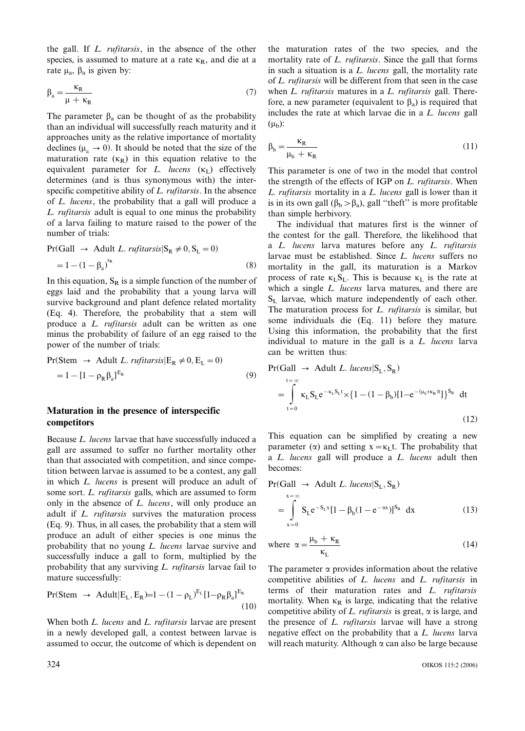the gall. If L. rufitarsis, in the absence of the other species, is assumed to mature at a rate  $\kappa_R$ , and die at a rate  $\mu_a$ ,  $\beta_a$  is given by:

$$
\beta_a = \frac{\kappa_R}{\mu + \kappa_R} \tag{7}
$$

The parameter  $\beta_a$  can be thought of as the probability than an individual will successfully reach maturity and it approaches unity as the relative importance of mortality declines ( $\mu_a \rightarrow 0$ ). It should be noted that the size of the maturation rate  $(\kappa_R)$  in this equation relative to the equivalent parameter for L. lucens  $(\kappa_L)$  effectively determines (and is thus synonymous with) the interspecific competitive ability of L. rufitarsis. In the absence of L. lucens, the probability that a gall will produce a L. rufitarsis adult is equal to one minus the probability of a larva failing to mature raised to the power of the number of trials:

$$
Pr(Gall \rightarrow Adult L. rufitarsis | S_R \neq 0, S_L = 0)
$$
  
= 1 - (1 -  $\beta_a$ )<sup>s<sub>R</sub></sup> (8)

In this equation,  $S_R$  is a simple function of the number of eggs laid and the probability that a young larva will survive background and plant defence related mortality (Eq. 4). Therefore, the probability that a stem will produce a L. rufitarsis adult can be written as one minus the probability of failure of an egg raised to the power of the number of trials:

$$
Pr(\text{Stem} \rightarrow \text{Adult } L. \text{ rufitarsis} | E_R \neq 0, E_L = 0)
$$

$$
= 1 - [1 - \rho_R \beta_a]^{E_R} \tag{9}
$$

# Maturation in the presence of interspecific competitors

Because L. lucens larvae that have successfully induced a gall are assumed to suffer no further mortality other than that associated with competition, and since competition between larvae is assumed to be a contest, any gall in which *L. lucens* is present will produce an adult of some sort. L. *rufitarsis* galls, which are assumed to form only in the absence of L. lucens, will only produce an adult if L. rufitarsis survives the maturation process (Eq. 9). Thus, in all cases, the probability that a stem will produce an adult of either species is one minus the probability that no young L. lucens larvae survive and successfully induce a gall to form, multiplied by the probability that any surviving L. rufitarsis larvae fail to mature successfully:

$$
Pr(Stem \rightarrow \text{Adult} | E_L, E_R) = 1 - (1 - \rho_L)^{E_L} [1 - \rho_R \beta_a]^{E_R} \tag{10}
$$

When both L. lucens and L. rufitarsis larvae are present in a newly developed gall, a contest between larvae is assumed to occur, the outcome of which is dependent on the maturation rates of the two species, and the mortality rate of L. *rufitarsis*. Since the gall that forms in such a situation is a  $L$ . *lucens* gall, the mortality rate of L. rufitarsis will be different from that seen in the case when *L. rufitarsis* matures in a *L. rufitarsis* gall. Therefore, a new parameter (equivalent to  $\beta_a$ ) is required that includes the rate at which larvae die in a L. lucens gall  $(\mu_b)$ :

$$
\beta_b = \frac{\kappa_R}{\mu_b + \kappa_R} \tag{11}
$$

This parameter is one of two in the model that control the strength of the effects of IGP on L. rufitarsis. When  $L.$  *rufitarsis* mortality in a  $L.$  *lucens* gall is lower than it is in its own gall  $(\beta_b > \beta_a)$ , gall "theft" is more profitable than simple herbivory.

The individual that matures first is the winner of the contest for the gall. Therefore, the likelihood that a L. lucens larva matures before any L. rufitarsis larvae must be established. Since L. lucens suffers no mortality in the gall, its maturation is a Markov process of rate  $\kappa$ <sub>L</sub>S<sub>L</sub>. This is because  $\kappa$ <sub>L</sub> is the rate at which a single  $L$ . lucens larva matures, and there are  $S_L$  larvae, which mature independently of each other. The maturation process for  $L$ . *rufitarsis* is similar, but some individuals die (Eq. 11) before they mature. Using this information, the probability that the first individual to mature in the gall is a  $L$ . lucens larva can be written thus:

$$
\Pr(\text{Gall} \to \text{Adult } L. \text{ lucens} | S_L, S_R)
$$
\n
$$
= \int_{t=0}^{t=\infty} \kappa_L S_L e^{-\kappa_L S_L t} \times \{1 - (1 - \beta_b)[1 - e^{-(\mu_b + \kappa_R)t}]\}^{S_R} \text{ dt}
$$
\n(12)

This equation can be simplified by creating a new parameter ( $\alpha$ ) and setting  $x = \kappa_L t$ . The probability that a L. lucens gall will produce a L. lucens adult then becomes:

$$
\Pr(\text{Gall} \to \text{Adult } L. \text{ lucens | SL, SR)
$$
\n
$$
= \int_{x=0}^{x=\infty} S_{L} e^{-S_{L}x} [1 - \beta_{b} (1 - e^{-\alpha x})]^{S_{R}} dx \qquad (13)
$$

where 
$$
\alpha = \frac{\mu_b + \kappa_R}{\kappa_L} \tag{14}
$$

The parameter  $\alpha$  provides information about the relative competitive abilities of L. lucens and L. rufitarsis in terms of their maturation rates and L. rufitarsis mortality. When  $\kappa_R$  is large, indicating that the relative competitive ability of L. rufitarsis is great,  $\alpha$  is large, and the presence of L. rufitarsis larvae will have a strong negative effect on the probability that a L. lucens larva will reach maturity. Although  $\alpha$  can also be large because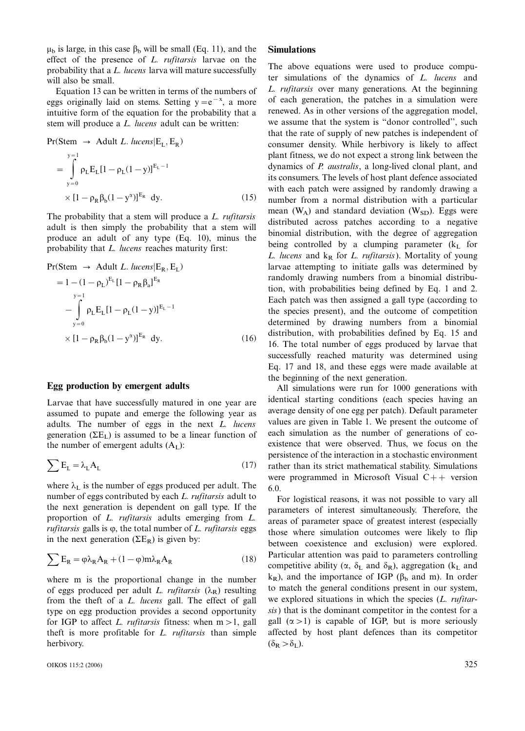$\mu_b$  is large, in this case  $\beta_b$  will be small (Eq. 11), and the effect of the presence of L. rufitarsis larvae on the probability that a L. lucens larva will mature successfully will also be small.

Equation 13 can be written in terms of the numbers of eggs originally laid on stems. Setting  $y = e^{-x}$ , a more intuitive form of the equation for the probability that a stem will produce a L. lucens adult can be written:

$$
\Pr(\text{Stem} \to \text{Adult } L. \text{ lucens} | E_L, E_R)
$$
\n
$$
= \int_{y=0}^{y=1} \rho_L E_L [1 - \rho_L (1 - y)]^{E_L - 1}
$$
\n
$$
\times [1 - \rho_R \beta_b (1 - y^{\alpha})]^{E_R} dy. \tag{15}
$$

The probability that a stem will produce a *L. rufitarsis* adult is then simply the probability that a stem will produce an adult of any type (Eq. 10), minus the probability that L. lucens reaches maturity first:

$$
\Pr(\text{Stem} \to \text{Adult } L. \text{ lucens} | E_{R}, E_{L})
$$
\n
$$
= 1 - (1 - \rho_{L})^{E_{L}} [1 - \rho_{R} \beta_{a}]^{E_{R}}
$$
\n
$$
- \int_{y=0}^{y=1} \rho_{L} E_{L} [1 - \rho_{L} (1 - y)]^{E_{L} - 1}
$$
\n
$$
\times [1 - \rho_{R} \beta_{b} (1 - y^{x})]^{E_{R}} dy. \tag{16}
$$

#### Egg production by emergent adults

Larvae that have successfully matured in one year are assumed to pupate and emerge the following year as adults. The number of eggs in the next L. lucens generation  $(\Sigma E_L)$  is assumed to be a linear function of the number of emergent adults  $(A<sub>L</sub>)$ :

$$
\sum E_{L} = \lambda_{L} A_{L}
$$
 (17)

where  $\lambda_L$  is the number of eggs produced per adult. The number of eggs contributed by each *L. rufitarsis* adult to the next generation is dependent on gall type. If the proportion of L. rufitarsis adults emerging from L. rufitarsis galls is  $\varphi$ , the total number of L. rufitarsis eggs in the next generation  $(\Sigma E_R)$  is given by:

$$
\sum E_R = \varphi \lambda_R A_R + (1 - \varphi) m \lambda_R A_R
$$
\n(18)

where m is the proportional change in the number of eggs produced per adult L. rufitarsis  $(\lambda_R)$  resulting from the theft of a L. lucens gall. The effect of gall type on egg production provides a second opportunity for IGP to affect L. rufitarsis fitness: when  $m > 1$ , gall theft is more profitable for  $L$ . *rufitarsis* than simple herbivory.

#### Simulations

The above equations were used to produce computer simulations of the dynamics of L. lucens and L. rufitarsis over many generations. At the beginning of each generation, the patches in a simulation were renewed. As in other versions of the aggregation model, we assume that the system is ''donor controlled'', such that the rate of supply of new patches is independent of consumer density. While herbivory is likely to affect plant fitness, we do not expect a strong link between the dynamics of P. australis, a long-lived clonal plant, and its consumers. The levels of host plant defence associated with each patch were assigned by randomly drawing a number from a normal distribution with a particular mean  $(W_A)$  and standard deviation  $(W_{SD})$ . Eggs were distributed across patches according to a negative binomial distribution, with the degree of aggregation being controlled by a clumping parameter  $(k<sub>L</sub>$  for L. lucens and  $k_R$  for L. rufitarsis). Mortality of young larvae attempting to initiate galls was determined by randomly drawing numbers from a binomial distribution, with probabilities being defined by Eq. 1 and 2. Each patch was then assigned a gall type (according to the species present), and the outcome of competition determined by drawing numbers from a binomial distribution, with probabilities defined by Eq. 15 and 16. The total number of eggs produced by larvae that successfully reached maturity was determined using Eq. 17 and 18, and these eggs were made available at the beginning of the next generation.

All simulations were run for 1000 generations with identical starting conditions (each species having an average density of one egg per patch). Default parameter values are given in Table 1. We present the outcome of each simulation as the number of generations of coexistence that were observed. Thus, we focus on the persistence of the interaction in a stochastic environment rather than its strict mathematical stability. Simulations were programmed in Microsoft Visual  $C++$  version 6.0.

For logistical reasons, it was not possible to vary all parameters of interest simultaneously. Therefore, the areas of parameter space of greatest interest (especially those where simulation outcomes were likely to flip between coexistence and exclusion) were explored. Particular attention was paid to parameters controlling competitive ability ( $\alpha$ ,  $\delta$ <sub>L</sub> and  $\delta$ <sub>R</sub>), aggregation ( $k$ <sub>L</sub> and  $k_R$ ), and the importance of IGP ( $\beta_b$  and m). In order to match the general conditions present in our system, we explored situations in which the species (*L. rufitar*sis) that is the dominant competitor in the contest for a gall  $(\alpha > 1)$  is capable of IGP, but is more seriously affected by host plant defences than its competitor  $(\delta_{\rm R} > \delta_{\rm L})$ .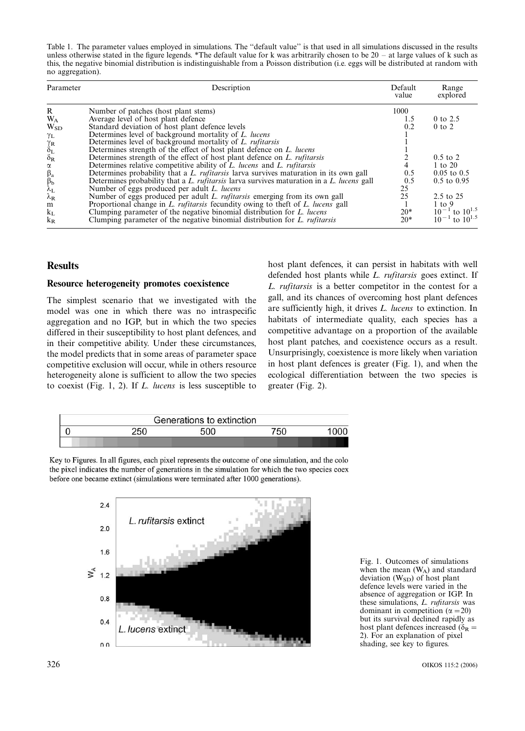Table 1. The parameter values employed in simulations. The ''default value'' is that used in all simulations discussed in the results unless otherwise stated in the figure legends. \*The default value for k was arbitrarily chosen to be  $20 - at$  large values of k such as this, the negative binomial distribution is indistinguishable from a Poisson distribution (i.e. eggs will be distributed at random with no aggregation).

| Parameter                                                      | Description                                                                               | Default<br>value | Range<br>explored                                      |
|----------------------------------------------------------------|-------------------------------------------------------------------------------------------|------------------|--------------------------------------------------------|
| $\mathbb{R}$                                                   | Number of patches (host plant stems)                                                      | 1000             |                                                        |
| <b>W<sub>A</sub></b>                                           | Average level of host plant defence                                                       | 1.5              | $0$ to 2.5                                             |
| $W_{SD}$                                                       | Standard deviation of host plant defence levels                                           | 0.2              | $0$ to $2$                                             |
| $\gamma_{\rm L}$                                               | Determines level of background mortality of L. lucens                                     |                  |                                                        |
|                                                                | Determines level of background mortality of L. rufitarsis                                 |                  |                                                        |
| $\delta_{\rm L}^{\gamma_{\rm R}}$                              | Determines strength of the effect of host plant defence on L. lucens                      |                  |                                                        |
| $\delta_{\rm R}$                                               | Determines strength of the effect of host plant defence on L. rufitarsis                  |                  | $0.5$ to $2$                                           |
| $\alpha$                                                       | Determines relative competitive ability of L. lucens and L. rufitarsis                    | 4                | 1 to $20$                                              |
| $\begin{array}{c} \beta_a \\ \beta_b \\ \lambda_L \end{array}$ | Determines probability that a L. rufitarsis larva survives maturation in its own gall     | 0.5              | $0.05$ to $0.5$                                        |
|                                                                | Determines probability that a L. rufitarsis larva survives maturation in a L. lucens gall | 0.5              | $0.5$ to $0.95$                                        |
|                                                                | Number of eggs produced per adult <i>L. lucens</i>                                        | 25               |                                                        |
| $\lambda_{\rm R}$                                              | Number of eggs produced per adult <i>L. rufitarsis</i> emerging from its own gall         | 25               | 2.5 to 25                                              |
| m                                                              | Proportional change in L. rufitars is fecundity owing to the ft of L. lucens gall         |                  |                                                        |
| $k_{L}$                                                        | Clumping parameter of the negative binomial distribution for L. lucens                    | $20*$            | $\frac{1 \text{ to } 9}{10^{-1} \text{ to } 10^{1.5}}$ |
| $k_{R}$                                                        | Clumping parameter of the negative binomial distribution for L. rufitarsis                | $20*$            | $10^{-1}$ to $10^{1.5}$                                |

## **Results**

## Resource heterogeneity promotes coexistence

The simplest scenario that we investigated with the model was one in which there was no intraspecific aggregation and no IGP, but in which the two species differed in their susceptibility to host plant defences, and in their competitive ability. Under these circumstances, the model predicts that in some areas of parameter space competitive exclusion will occur, while in others resource heterogeneity alone is sufficient to allow the two species to coexist (Fig. 1, 2). If  $L$ . lucens is less susceptible to host plant defences, it can persist in habitats with well defended host plants while L. rufitarsis goes extinct. If L. rufitarsis is a better competitor in the contest for a gall, and its chances of overcoming host plant defences are sufficiently high, it drives L. lucens to extinction. In habitats of intermediate quality, each species has a competitive advantage on a proportion of the available host plant patches, and coexistence occurs as a result. Unsurprisingly, coexistence is more likely when variation in host plant defences is greater (Fig. 1), and when the ecological differentiation between the two species is greater (Fig. 2).



Key to Figures. In all figures, each pixel represents the outcome of one simulation, and the colo the pixel indicates the number of generations in the simulation for which the two species coex before one became extinct (simulations were terminated after 1000 generations).



Fig. 1. Outcomes of simulations when the mean  $(W_A)$  and standard deviation  $(W_{SD})$  of host plant defence levels were varied in the absence of aggregation or IGP. In these simulations, L. rufitarsis was dominant in competition  $(\alpha = 20)$ but its survival declined rapidly as host plant defences increased ( $\delta_{\rm R}$  = 2). For an explanation of pixel shading, see key to figures.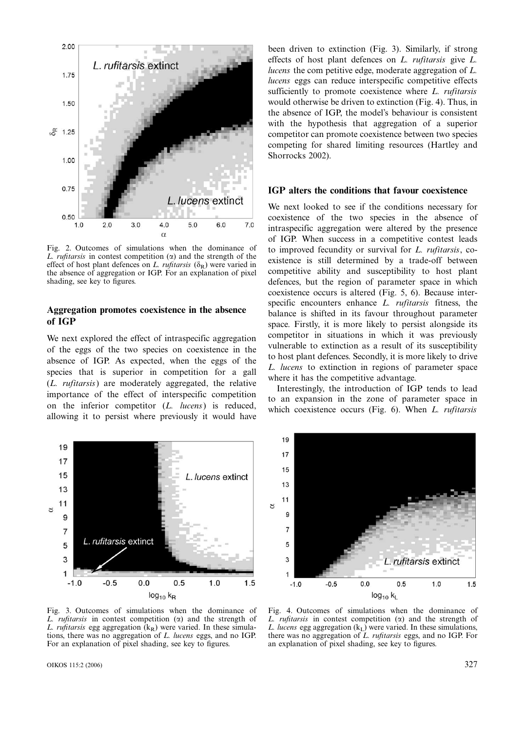

Fig. 2. Outcomes of simulations when the dominance of L. *rufitarsis* in contest competition  $(\alpha)$  and the strength of the effect of host plant defences on L. rufitarsis ( $\delta_R$ ) were varied in the absence of aggregation or IGP. For an explanation of pixel shading, see key to figures.

## Aggregation promotes coexistence in the absence of IGP

We next explored the effect of intraspecific aggregation of the eggs of the two species on coexistence in the absence of IGP. As expected, when the eggs of the species that is superior in competition for a gall (L. rufitarsis) are moderately aggregated, the relative importance of the effect of interspecific competition on the inferior competitor  $(L. \; \; lucens)$  is reduced, allowing it to persist where previously it would have



Fig. 3. Outcomes of simulations when the dominance of L. rufitarsis in contest competition  $(\alpha)$  and the strength of L. rufitarsis egg aggregation  $(k_R)$  were varied. In these simulations, there was no aggregation of L. lucens eggs, and no IGP. For an explanation of pixel shading, see key to figures.

been driven to extinction (Fig. 3). Similarly, if strong effects of host plant defences on  $L$ . *rufitarsis* give  $L$ . lucens the com petitive edge, moderate aggregation of L. lucens eggs can reduce interspecific competitive effects sufficiently to promote coexistence where  $L$ . *rufitarsis* would otherwise be driven to extinction (Fig. 4). Thus, in the absence of IGP, the model's behaviour is consistent with the hypothesis that aggregation of a superior competitor can promote coexistence between two species competing for shared limiting resources (Hartley and Shorrocks 2002).

## IGP alters the conditions that favour coexistence

We next looked to see if the conditions necessary for coexistence of the two species in the absence of intraspecific aggregation were altered by the presence of IGP. When success in a competitive contest leads to improved fecundity or survival for L. rufitarsis, coexistence is still determined by a trade-off between competitive ability and susceptibility to host plant defences, but the region of parameter space in which coexistence occurs is altered (Fig. 5, 6). Because interspecific encounters enhance *L. rufitarsis* fitness, the balance is shifted in its favour throughout parameter space. Firstly, it is more likely to persist alongside its competitor in situations in which it was previously vulnerable to extinction as a result of its susceptibility to host plant defences. Secondly, it is more likely to drive L. lucens to extinction in regions of parameter space where it has the competitive advantage.

Interestingly, the introduction of IGP tends to lead to an expansion in the zone of parameter space in which coexistence occurs (Fig.  $6$ ). When *L. rufitarsis* 



Fig. 4. Outcomes of simulations when the dominance of L. *rufitarsis* in contest competition  $(\alpha)$  and the strength of L. lucens egg aggregation  $(k<sub>L</sub>)$  were varied. In these simulations, there was no aggregation of  $\overline{L}$ . *rufitarsis* eggs, and no IGP. For an explanation of pixel shading, see key to figures.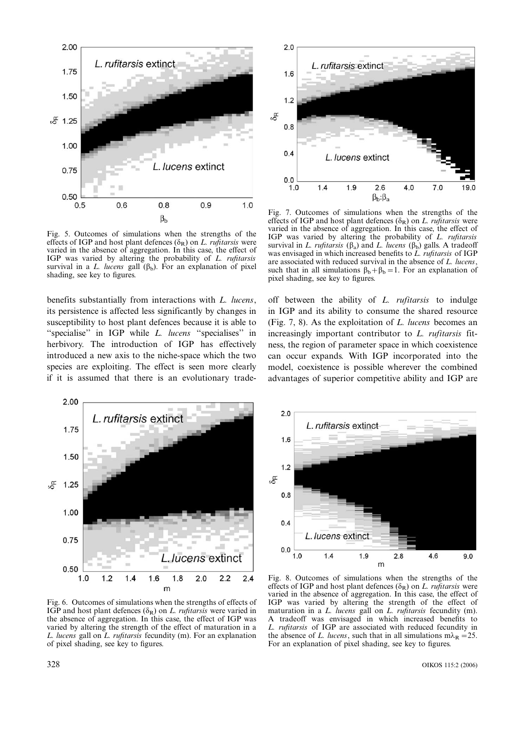

Fig. 5. Outcomes of simulations when the strengths of the effects of IGP and host plant defences ( $\delta_R$ ) on *L. rufitarsis* were varied in the absence of aggregation. In this case, the effect of IGP was varied by altering the probability of *L. rufitarsis* survival in a L. lucens gall  $(\beta_b)$ . For an explanation of pixel shading, see key to figures.

benefits substantially from interactions with L. lucens, its persistence is affected less significantly by changes in susceptibility to host plant defences because it is able to "specialise" in IGP while L. lucens "specialises" in herbivory. The introduction of IGP has effectively introduced a new axis to the niche-space which the two species are exploiting. The effect is seen more clearly if it is assumed that there is an evolutionary trade-



Fig. 7. Outcomes of simulations when the strengths of the effects of IGP and host plant defences ( $\delta_R$ ) on *L. rufitarsis* were varied in the absence of aggregation. In this case, the effect of IGP was varied by altering the probability of L. rufitarsis survival in L. rufitarsis ( $\beta_a$ ) and L. lucens ( $\beta_b$ ) galls. A tradeoff was envisaged in which increased benefits to L. rufitarsis of IGP are associated with reduced survival in the absence of L. lucens, such that in all simulations  $\beta_b + \beta_b = 1$ . For an explanation of pixel shading, see key to figures.

off between the ability of  $L$ . *rufitarsis* to indulge in IGP and its ability to consume the shared resource (Fig. 7, 8). As the exploitation of  $L$ . *lucens* becomes an increasingly important contributor to L. rufitarsis fitness, the region of parameter space in which coexistence can occur expands. With IGP incorporated into the model, coexistence is possible wherever the combined advantages of superior competitive ability and IGP are



Fig. 6. Outcomes of simulations when the strengths of effects of IGP and host plant defences ( $\delta_R$ ) on *L. rufitarsis* were varied in the absence of aggregation. In this case, the effect of IGP was varied by altering the strength of the effect of maturation in a L. lucens gall on  $L$ . rufitarsis fecundity (m). For an explanation



Fig. 8. Outcomes of simulations when the strengths of the effects of IGP and host plant defences  $(\delta_R)$  on L. rufitarsis were varied in the absence of aggregation. In this case, the effect of IGP was varied by altering the strength of the effect of maturation in a L. lucens gall on L. rufitarsis fecundity (m). A tradeoff was envisaged in which increased benefits to L. rufitarsis of IGP are associated with reduced fecundity in the absence of L. lucens, such that in all simulations  $m\lambda_R = 25$ . For an explanation of pixel shading, see key to figures.

of pixel shading, see key to figures.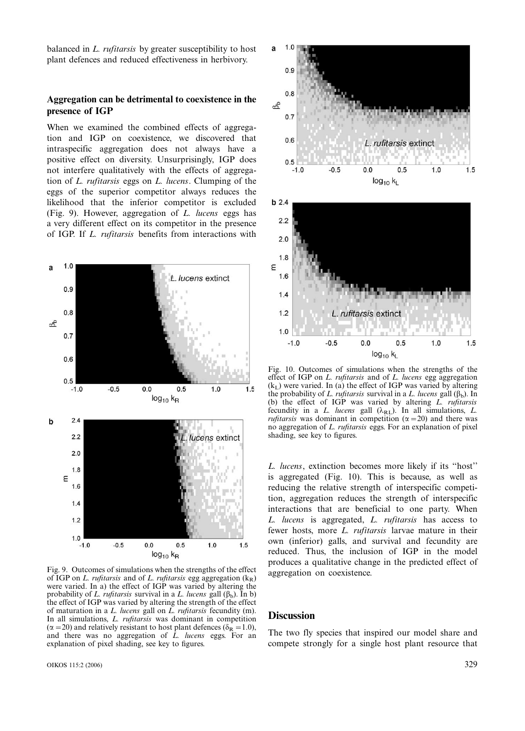balanced in L. *rufitarsis* by greater susceptibility to host plant defences and reduced effectiveness in herbivory.

# Aggregation can be detrimental to coexistence in the presence of IGP

When we examined the combined effects of aggregation and IGP on coexistence, we discovered that intraspecific aggregation does not always have a positive effect on diversity. Unsurprisingly, IGP does not interfere qualitatively with the effects of aggregation of L. rufitarsis eggs on L. lucens. Clumping of the eggs of the superior competitor always reduces the likelihood that the inferior competitor is excluded (Fig. 9). However, aggregation of L. lucens eggs has a very different effect on its competitor in the presence of IGP. If L. rufitarsis benefits from interactions with



Fig. 9. Outcomes of simulations when the strengths of the effect of IGP on L. rufitarsis and of L. rufitarsis egg aggregation  $(k_R)$ were varied. In a) the effect of IGP was varied by altering the probability of L. rufitarsis survival in a L. lucens gall  $(\beta_b)$ . In b) the effect of IGP was varied by altering the strength of the effect of maturation in a L. lucens gall on L. rufitarsis fecundity (m). In all simulations, *L. rufitarsis* was dominant in competition  $(\alpha = 20)$  and relatively resistant to host plant defences ( $\delta_R = 1.0$ ), and there was no aggregation of  $\hat{L}$ . lucens eggs. For an explanation of pixel shading, see key to figures.



effect of IGP on  $L$ . *rufitarsis* and of  $L$ . *lucens* egg aggregation  $(k<sub>L</sub>)$  were varied. In (a) the effect of IGP was varied by altering the probability of L. rufitarsis survival in a L. lucens gall  $(\beta_b)$ . In (b) the effect of IGP was varied by altering  $\overline{L}$ . *rufitarsis* fecundity in a L. lucens gall  $(\lambda_{RL})$ . In all simulations, L. *rufitarsis* was dominant in competition ( $\alpha$  = 20) and there was no aggregation of L. rufitarsis eggs. For an explanation of pixel shading, see key to figures.

L. lucens, extinction becomes more likely if its ''host'' is aggregated (Fig. 10). This is because, as well as reducing the relative strength of interspecific competition, aggregation reduces the strength of interspecific interactions that are beneficial to one party. When L. lucens is aggregated, L. rufitarsis has access to fewer hosts, more L. rufitarsis larvae mature in their own (inferior) galls, and survival and fecundity are reduced. Thus, the inclusion of IGP in the model produces a qualitative change in the predicted effect of aggregation on coexistence.

# **Discussion**

The two fly species that inspired our model share and compete strongly for a single host plant resource that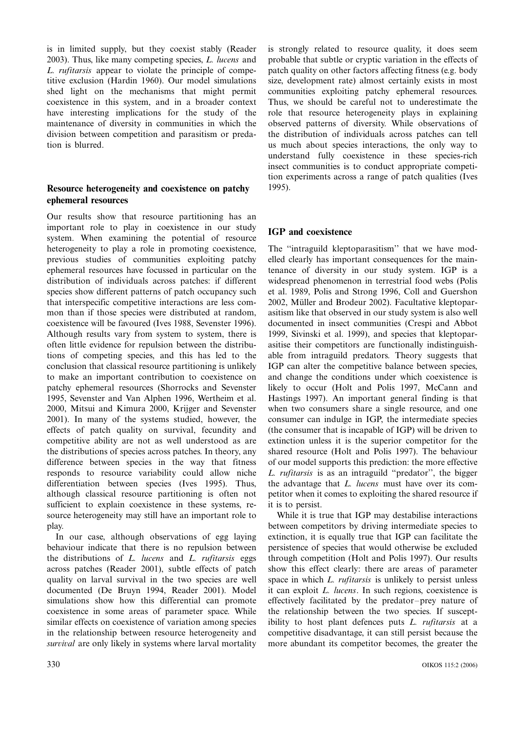is in limited supply, but they coexist stably (Reader 2003). Thus, like many competing species, L. lucens and L. *rufitarsis* appear to violate the principle of competitive exclusion (Hardin 1960). Our model simulations shed light on the mechanisms that might permit coexistence in this system, and in a broader context have interesting implications for the study of the maintenance of diversity in communities in which the division between competition and parasitism or predation is blurred.

# Resource heterogeneity and coexistence on patchy ephemeral resources

Our results show that resource partitioning has an important role to play in coexistence in our study system. When examining the potential of resource heterogeneity to play a role in promoting coexistence, previous studies of communities exploiting patchy ephemeral resources have focussed in particular on the distribution of individuals across patches: if different species show different patterns of patch occupancy such that interspecific competitive interactions are less common than if those species were distributed at random, coexistence will be favoured (Ives 1988, Sevenster 1996). Although results vary from system to system, there is often little evidence for repulsion between the distributions of competing species, and this has led to the conclusion that classical resource partitioning is unlikely to make an important contribution to coexistence on patchy ephemeral resources (Shorrocks and Sevenster 1995, Sevenster and Van Alphen 1996, Wertheim et al. 2000, Mitsui and Kimura 2000, Krijger and Sevenster 2001). In many of the systems studied, however, the effects of patch quality on survival, fecundity and competitive ability are not as well understood as are the distributions of species across patches. In theory, any difference between species in the way that fitness responds to resource variability could allow niche differentiation between species (Ives 1995). Thus, although classical resource partitioning is often not sufficient to explain coexistence in these systems, resource heterogeneity may still have an important role to play.

In our case, although observations of egg laying behaviour indicate that there is no repulsion between the distributions of  $L$ . *lucens* and  $L$ . *rufitarsis* eggs across patches (Reader 2001), subtle effects of patch quality on larval survival in the two species are well documented (De Bruyn 1994, Reader 2001). Model simulations show how this differential can promote coexistence in some areas of parameter space. While similar effects on coexistence of variation among species in the relationship between resource heterogeneity and survival are only likely in systems where larval mortality is strongly related to resource quality, it does seem probable that subtle or cryptic variation in the effects of patch quality on other factors affecting fitness (e.g. body size, development rate) almost certainly exists in most communities exploiting patchy ephemeral resources. Thus, we should be careful not to underestimate the role that resource heterogeneity plays in explaining observed patterns of diversity. While observations of the distribution of individuals across patches can tell us much about species interactions, the only way to understand fully coexistence in these species-rich insect communities is to conduct appropriate competition experiments across a range of patch qualities (Ives 1995).

# IGP and coexistence

The ''intraguild kleptoparasitism'' that we have modelled clearly has important consequences for the maintenance of diversity in our study system. IGP is a widespread phenomenon in terrestrial food webs (Polis et al. 1989, Polis and Strong 1996, Coll and Guershon 2002, Müller and Brodeur 2002). Facultative kleptoparasitism like that observed in our study system is also well documented in insect communities (Crespi and Abbot 1999, Sivinski et al. 1999), and species that kleptoparasitise their competitors are functionally indistinguishable from intraguild predators. Theory suggests that IGP can alter the competitive balance between species, and change the conditions under which coexistence is likely to occur (Holt and Polis 1997, McCann and Hastings 1997). An important general finding is that when two consumers share a single resource, and one consumer can indulge in IGP, the intermediate species (the consumer that is incapable of IGP) will be driven to extinction unless it is the superior competitor for the shared resource (Holt and Polis 1997). The behaviour of our model supports this prediction: the more effective L. rufitarsis is as an intraguild ''predator'', the bigger the advantage that L. lucens must have over its competitor when it comes to exploiting the shared resource if it is to persist.

While it is true that IGP may destabilise interactions between competitors by driving intermediate species to extinction, it is equally true that IGP can facilitate the persistence of species that would otherwise be excluded through competition (Holt and Polis 1997). Our results show this effect clearly: there are areas of parameter space in which *L. rufitarsis* is unlikely to persist unless it can exploit L. lucens. In such regions, coexistence is effectively facilitated by the predator-prey nature of the relationship between the two species. If susceptibility to host plant defences puts L. rufitarsis at a competitive disadvantage, it can still persist because the more abundant its competitor becomes, the greater the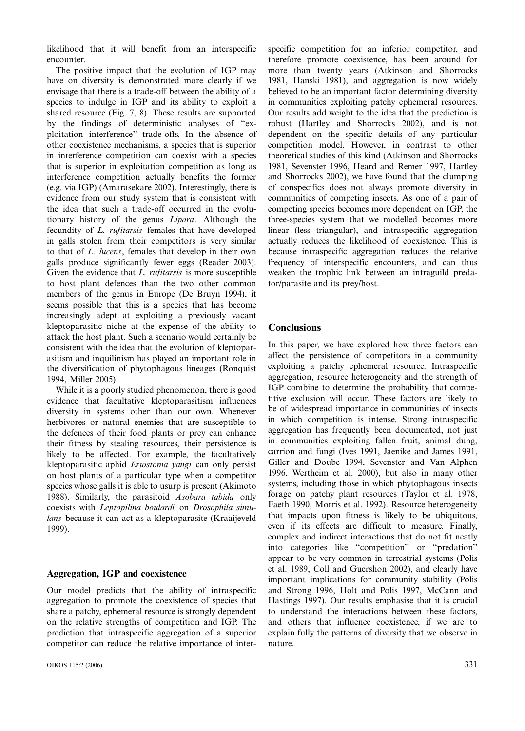likelihood that it will benefit from an interspecific encounter.

The positive impact that the evolution of IGP may have on diversity is demonstrated more clearly if we envisage that there is a trade-off between the ability of a species to indulge in IGP and its ability to exploit a shared resource (Fig. 7, 8). These results are supported by the findings of deterministic analyses of ''exploitation-interference" trade-offs. In the absence of other coexistence mechanisms, a species that is superior in interference competition can coexist with a species that is superior in exploitation competition as long as interference competition actually benefits the former (e.g. via IGP) (Amarasekare 2002). Interestingly, there is evidence from our study system that is consistent with the idea that such a trade-off occurred in the evolutionary history of the genus Lipara. Although the fecundity of L. rufitarsis females that have developed in galls stolen from their competitors is very similar to that of L. lucens, females that develop in their own galls produce significantly fewer eggs (Reader 2003). Given the evidence that L. *rufitarsis* is more susceptible to host plant defences than the two other common members of the genus in Europe (De Bruyn 1994), it seems possible that this is a species that has become increasingly adept at exploiting a previously vacant kleptoparasitic niche at the expense of the ability to attack the host plant. Such a scenario would certainly be consistent with the idea that the evolution of kleptoparasitism and inquilinism has played an important role in the diversification of phytophagous lineages (Ronquist 1994, Miller 2005).

While it is a poorly studied phenomenon, there is good evidence that facultative kleptoparasitism influences diversity in systems other than our own. Whenever herbivores or natural enemies that are susceptible to the defences of their food plants or prey can enhance their fitness by stealing resources, their persistence is likely to be affected. For example, the facultatively kleptoparasitic aphid Eriostoma yangi can only persist on host plants of a particular type when a competitor species whose galls it is able to usurp is present (Akimoto 1988). Similarly, the parasitoid Asobara tabida only coexists with Leptopilina boulardi on Drosophila simulans because it can act as a kleptoparasite (Kraaijeveld 1999).

## Aggregation, IGP and coexistence

Our model predicts that the ability of intraspecific aggregation to promote the coexistence of species that share a patchy, ephemeral resource is strongly dependent on the relative strengths of competition and IGP. The prediction that intraspecific aggregation of a superior competitor can reduce the relative importance of interspecific competition for an inferior competitor, and therefore promote coexistence, has been around for more than twenty years (Atkinson and Shorrocks 1981, Hanski 1981), and aggregation is now widely believed to be an important factor determining diversity in communities exploiting patchy ephemeral resources. Our results add weight to the idea that the prediction is robust (Hartley and Shorrocks 2002), and is not dependent on the specific details of any particular competition model. However, in contrast to other theoretical studies of this kind (Atkinson and Shorrocks 1981, Sevenster 1996, Heard and Remer 1997, Hartley and Shorrocks 2002), we have found that the clumping of conspecifics does not always promote diversity in communities of competing insects. As one of a pair of competing species becomes more dependent on IGP, the three-species system that we modelled becomes more linear (less triangular), and intraspecific aggregation actually reduces the likelihood of coexistence. This is because intraspecific aggregation reduces the relative frequency of interspecific encounters, and can thus weaken the trophic link between an intraguild predator/parasite and its prey/host.

# **Conclusions**

In this paper, we have explored how three factors can affect the persistence of competitors in a community exploiting a patchy ephemeral resource. Intraspecific aggregation, resource heterogeneity and the strength of IGP combine to determine the probability that competitive exclusion will occur. These factors are likely to be of widespread importance in communities of insects in which competition is intense. Strong intraspecific aggregation has frequently been documented, not just in communities exploiting fallen fruit, animal dung, carrion and fungi (Ives 1991, Jaenike and James 1991, Giller and Doube 1994, Sevenster and Van Alphen 1996, Wertheim et al. 2000), but also in many other systems, including those in which phytophagous insects forage on patchy plant resources (Taylor et al. 1978, Faeth 1990, Morris et al. 1992). Resource heterogeneity that impacts upon fitness is likely to be ubiquitous, even if its effects are difficult to measure. Finally, complex and indirect interactions that do not fit neatly into categories like ''competition'' or ''predation'' appear to be very common in terrestrial systems (Polis et al. 1989, Coll and Guershon 2002), and clearly have important implications for community stability (Polis and Strong 1996, Holt and Polis 1997, McCann and Hastings 1997). Our results emphasise that it is crucial to understand the interactions between these factors, and others that influence coexistence, if we are to explain fully the patterns of diversity that we observe in nature.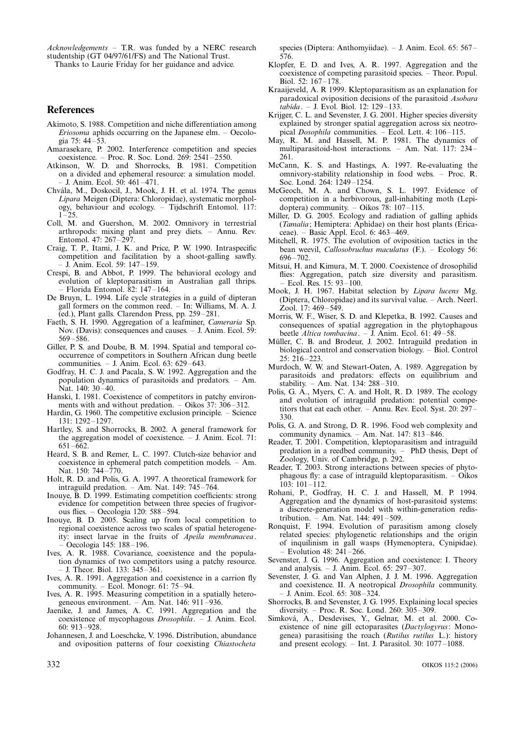$Acknowledgements - T.R.$  was funded by a NERC research studentship (GT 04/97/61/FS) and The National Trust.

Thanks to Laurie Friday for her guidance and advice.

## References

- Akimoto, S. 1988. Competition and niche differentiation among Eriosoma aphids occurring on the Japanese elm.  $-$  Oecologia 75: 44-53.
- Amarasekare, P. 2002. Interference competition and species coexistence.  $-$  Proc. R. Soc. Lond. 269: 2541 $-2550$ .
- Atkinson, W. D. and Shorrocks, B. 1981. Competition on a divided and ephemeral resource: a simulation model.  $-$  J. Anim. Ecol. 50: 461 $-471$ .
- Chvála, M., Doskocil, J., Mook, J. H. et al. 1974. The genus Lipara Meigen (Diptera: Chloropidae), systematic morphol- $\log y$ , behaviour and ecology.  $-$  Tijdschrift Entomol. 117:  $1 - 25$ .
- Coll, M. and Guershon, M. 2002. Omnivory in terrestrial arthropods: mixing plant and prey diets. - Annu. Rev. Entomol. 47: 267-297.
- Craig, T. P., Itami, J. K. and Price, P. W. 1990. Intraspecific competition and facilitation by a shoot-galling sawfly. - J. Anim. Ecol. 59: 147-159.
- Crespi, B. and Abbot, P. 1999. The behavioral ecology and evolution of kleptoparasitism in Australian gall thrips. Florida Entomol. 82: 147-164.
- De Bruyn, L. 1994. Life cycle strategies in a guild of dipteran gall formers on the common reed.  $-$  In: Williams, M. A. J.  $\text{[ed]}$ , Plant galls. Clarendon Press, pp. 259–281.
- Faeth, S. H. 1990. Aggregation of a leafminer, Cameraria Sp. Nov. (Davis): consequences and causes. - J. Anim. Ecol. 59:  $569 - 586.$
- Giller, P. S. and Doube, B. M. 1994. Spatial and temporal cooccurrence of competitors in Southern African dung beetle communities.  $-$  J. Anim. Ecol. 63: 629-643.
- Godfray, H. C. J. and Pacala, S. W. 1992. Aggregation and the population dynamics of parasitoids and predators. Am. Nat.  $140:30-40$ .
- Hanski, I. 1981. Coexistence of competitors in patchy environments with and without predation.  $-$  Oikos 37: 306-312.
- Hardin, G. 1960. The competitive exclusion principle.  $-$  Science 131: 1292-1297.
- Hartley, S. and Shorrocks, B. 2002. A general framework for the aggregation model of coexistence.  $-$  J. Anim. Ecol. 71:  $651 - 662.$
- Heard, S. B. and Remer, L. C. 1997. Clutch-size behavior and coexistence in ephemeral patch competition models. - Am. Nat. 150: 744-770.
- Holt, R. D. and Polis, G. A. 1997. A theoretical framework for intraguild predation.  $-$  Am. Nat. 149: 745 $-764$ .
- Inouye, B. D. 1999. Estimating competition coefficients: strong evidence for competition between three species of frugivorous flies.  $-$  Oecologia 120: 588-594.
- Inouye, B. D. 2005. Scaling up from local competition to regional coexistence across two scales of spatial heterogeneity: insect larvae in the fruits of Apeila membranacea. - Oecologia 145: 188-196.
- Ives, A. R. 1988. Covariance, coexistence and the population dynamics of two competitors using a patchy resource. - J. Theor. Biol. 133: 345-361.
- Ives, A. R. 1991. Aggregation and coexistence in a carrion fly community.  $-$  Ecol. Monogr. 61: 75–94.
- Ives, A. R. 1995. Measuring competition in a spatially heterogeneous environment.  $-$  Am. Nat. 146: 911-936.
- Jaenike, J. and James, A. C. 1991. Aggregation and the coexistence of mycophagous  $Drosophila$ .  $-$  J. Anim. Ecol. 60: 913-928.
- Johannesen, J. and Loeschcke, V. 1996. Distribution, abundance and oviposition patterns of four coexisting Chiastocheta

species (Diptera: Anthomyiidae). – J. Anim. Ecol. 65: 567– 576.

- Klopfer, E. D. and Ives, A. R. 1997. Aggregation and the coexistence of competing parasitoid species. Theor. Popul. Biol. 52: 167-178.
- Kraaijeveld, A. R 1999. Kleptoparasitism as an explanation for paradoxical oviposition decisions of the parasitoid Asobara  $\hat{t}$ abida. - J. Evol. Biol. 12: 129-133.
- Krijger, C. L. and Sevenster, J. G. 2001. Higher species diversity explained by stronger spatial aggregation across six neotropical *Dosophila* communities.  $-$  Ecol. Lett. 4: 106-115.
- May, R. M. and Hassell, M. P. 1981. The dynamics of multiparasitoid-host interactions. - Am. Nat. 117: 234-261.
- McCann, K. S. and Hastings, A. 1997. Re-evaluating the omnivory-stability relationship in food webs. - Proc. R. Soc. Lond. 264: 1249-1254.
- McGeoch, M. A. and Chown, S. L. 1997. Evidence of competition in a herbivorous, gall-inhabiting moth (Lepidoptera) community.  $-$  Oikos 78: 107-115.
- Miller, D. G. 2005. Ecology and radiation of galling aphids (Tamalia; Hemiptera: Aphidae) on their host plants (Ericaceae). - Basic Appl. Ecol. 6: 463-469.
- Mitchell, R. 1975. The evolution of oviposition tactics in the bean weevil, Callosobruchus maculatus (F.). - Ecology 56: 696-702.
- Mitsui, H. and Kimura, M. T. 2000. Coexistence of drosophilid flies: Aggregation, patch size diversity and parasitism.  $-$  Ecol. Res. 15: 93 $-100$ .
- Mook, J. H. 1967. Habitat selection by Lipara lucens Mg. (Diptera, Chloropidae) and its survival value. Arch. Neerl. Zool. 17: 469-549.
- Morris, W. F., Wiser, S. D. and Klepetka, B. 1992. Causes and consequences of spatial aggregation in the phytophagous beetle Altica tombacina.  $-$  J. Anim. Ecol. 61: 49-58.
- Müller, C. B. and Brodeur, J. 2002. Intraguild predation in biological control and conservation biology. - Biol. Control  $25: 216 - 223.$
- Murdoch, W. W. and Stewart-Oaten, A. 1989. Aggregation by parasitoids and predators: effects on equilibrium and stability. – Am. Nat. 134: 288–310.
- Polis, G. A., Myers, C. A. and Holt, R. D. 1989. The ecology and evolution of intraguild predation: potential competitors that eat each other. - Annu. Rev. Ecol. Syst. 20: 297-330.
- Polis, G. A. and Strong, D. R. 1996. Food web complexity and community dynamics.  $-$  Am. Nat. 147: 813-846.
- Reader, T. 2001. Competition, kleptoparasitism and intraguild predation in a reedbed community. PhD thesis, Dept of Zoology, Univ. of Cambridge, p. 292.
- Reader, T. 2003. Strong interactions between species of phytophagous fly: a case of intraguild kleptoparasitism.  $-$  Oikos  $103: 101 - 112.$
- Rohani, P., Godfray, H. C. J. and Hassell, M. P. 1994. Aggregation and the dynamics of host-parasitoid systems: a discrete-generation model with within-generation redistribution. - Am. Nat. 144: 491-509.
- Ronquist, F. 1994. Evolution of parasitism among closely related species: phylogenetic relationships and the origin of inquilinism in gall wasps (Hymenoptera, Cynipidae).  $-$  Evolution 48: 241-266.
- Sevenster, J. G. 1996. Aggregation and coexistence: I. Theory and analysis.  $-$  J. Anim. Ecol. 65: 297 $-307$ .
- Sevenster, J. G. and Van Alphen, J. J. M. 1996. Aggregation and coexistence. II. A neotropical Drosophila community. - J. Anim. Ecol. 65: 308-324.
- Shorrocks, B. and Sevenster, J. G. 1995. Explaining local species diversity. – Proc. R. Soc. Lond. 260:  $305-309$ .
- Simková, A., Desdevises, Y., Gelnar, M. et al. 2000. Coexistence of nine gill ectoparasites (Dactylogyrus: Monogenea) parasitising the roach (Rutilus rutilus L.): history and present ecology.  $-$  Int. J. Parasitol. 30: 1077 $-1088$ .